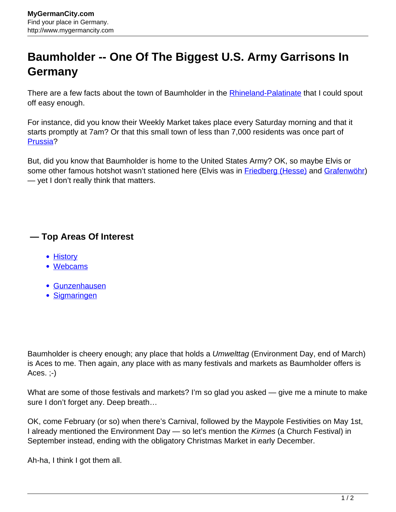## **Baumholder -- One Of The Biggest U.S. Army Garrisons In Germany**

There are a few facts about the town of Baumholder in the **[Rhineland-Palatinate](http://www.mygermancity.com/rhineland-palatinate)** that I could spout off easy enough.

For instance, did you know their Weekly Market takes place every Saturday morning and that it starts promptly at 7am? Or that this small town of less than 7,000 residents was once part of [Prussia?](http://www.mygermancity.com/prussia)

But, did you know that Baumholder is home to the United States Army? OK, so maybe Elvis or some other famous hotshot wasn't stationed here (Elvis was in [Friedberg \(Hesse\)](http://www.mygermancity.com/friedberg-hesse) and [Grafenwöhr](http://www.mygermancity.com/grafenwoehr)) — yet I don't really think that matters.

## **— Top Areas Of Interest**

- **[History](http://www.mygermancity.com/leipzig-history)**
- [Webcams](http://www.mygermancity.com/neustadt-holstein-webcams)
- [Gunzenhausen](http://www.mygermancity.com/gunzenhausen)
- [Sigmaringen](http://www.mygermancity.com/sigmaringen)

Baumholder is cheery enough; any place that holds a Umwelttag (Environment Day, end of March) is Aces to me. Then again, any place with as many festivals and markets as Baumholder offers is Aces.  $:-)$ 

What are some of those festivals and markets? I'm so glad you asked — give me a minute to make sure I don't forget any. Deep breath…

OK, come February (or so) when there's Carnival, followed by the Maypole Festivities on May 1st, I already mentioned the Environment Day - so let's mention the Kirmes (a Church Festival) in September instead, ending with the obligatory Christmas Market in early December.

Ah-ha, I think I got them all.